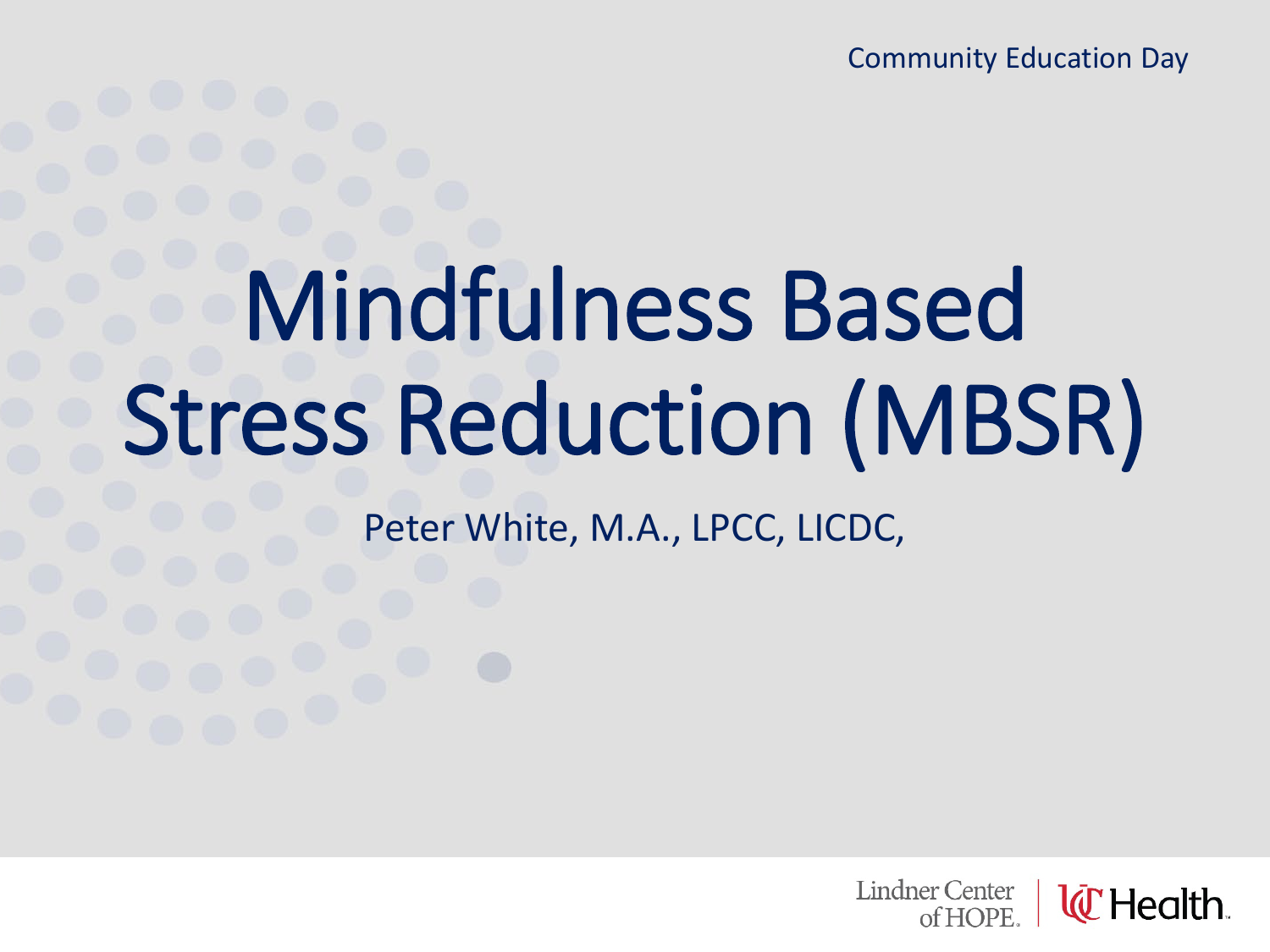Community Education Day

# Mindfulness Based Stress Reduction (MBSR)

Peter White, M.A., LPCC, LICDC,

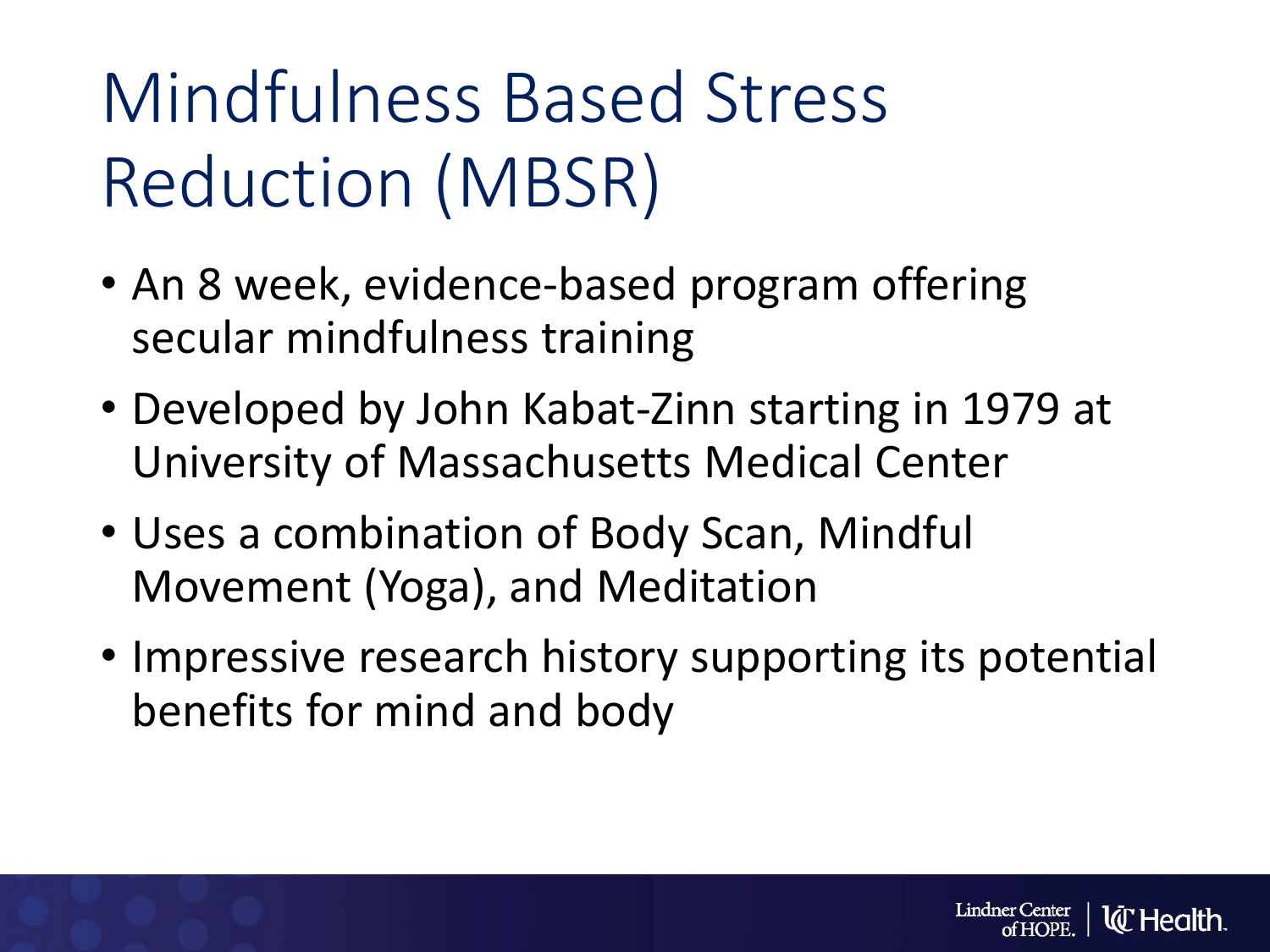# Mindfulness Based Stress Reduction (MBSR)

- An 8 week, evidence-based program offering secular mindfulness training
- Developed by John Kabat-Zinn starting in 1979 at University of Massachusetts Medical Center
- Uses a combination of Body Scan, Mindful Movement (Yoga), and Meditation
- Impressive research history supporting its potential benefits for mind and body

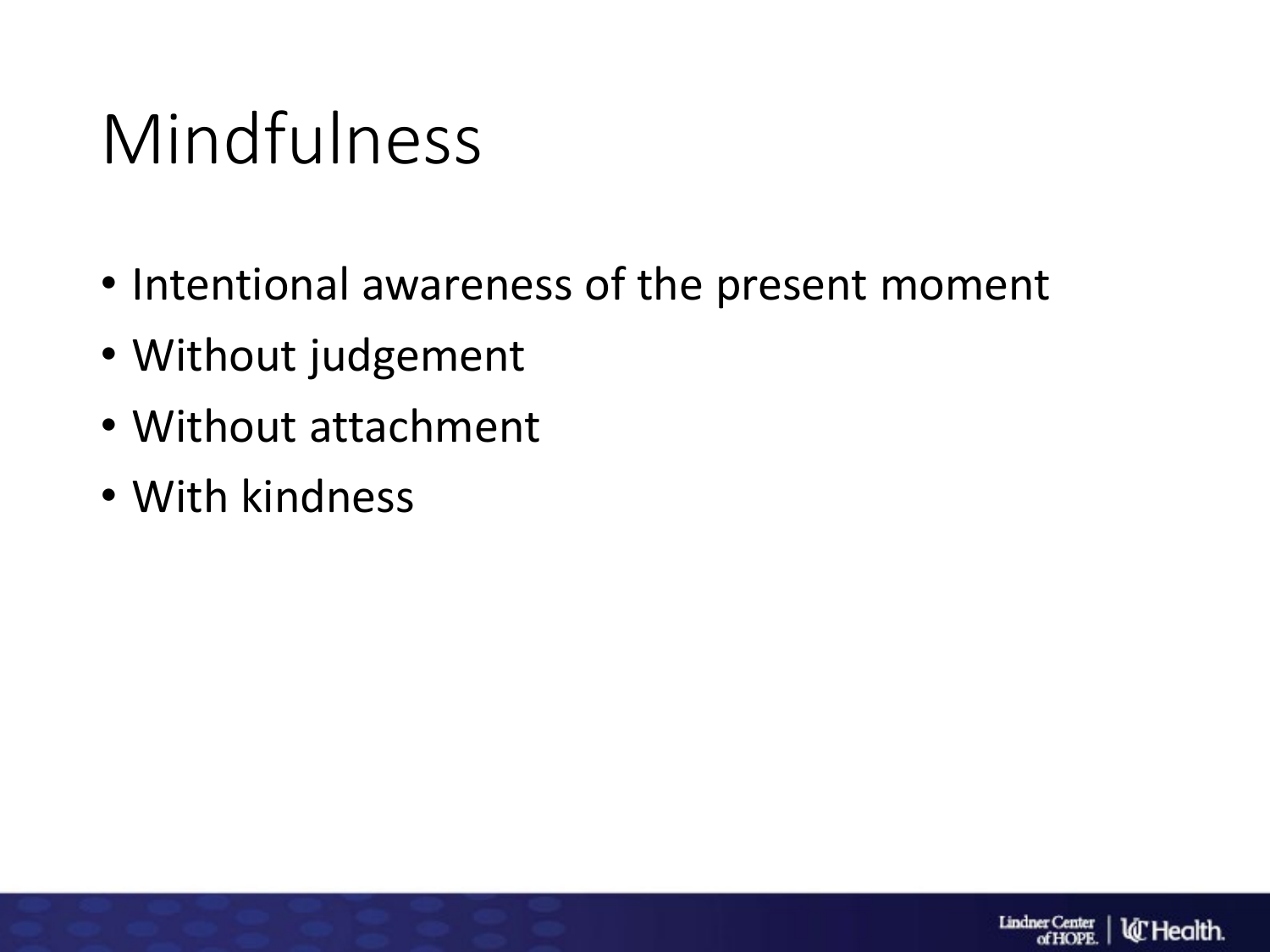### Mindfulness

- Intentional awareness of the present moment
- Without judgement
- Without attachment
- With kindness

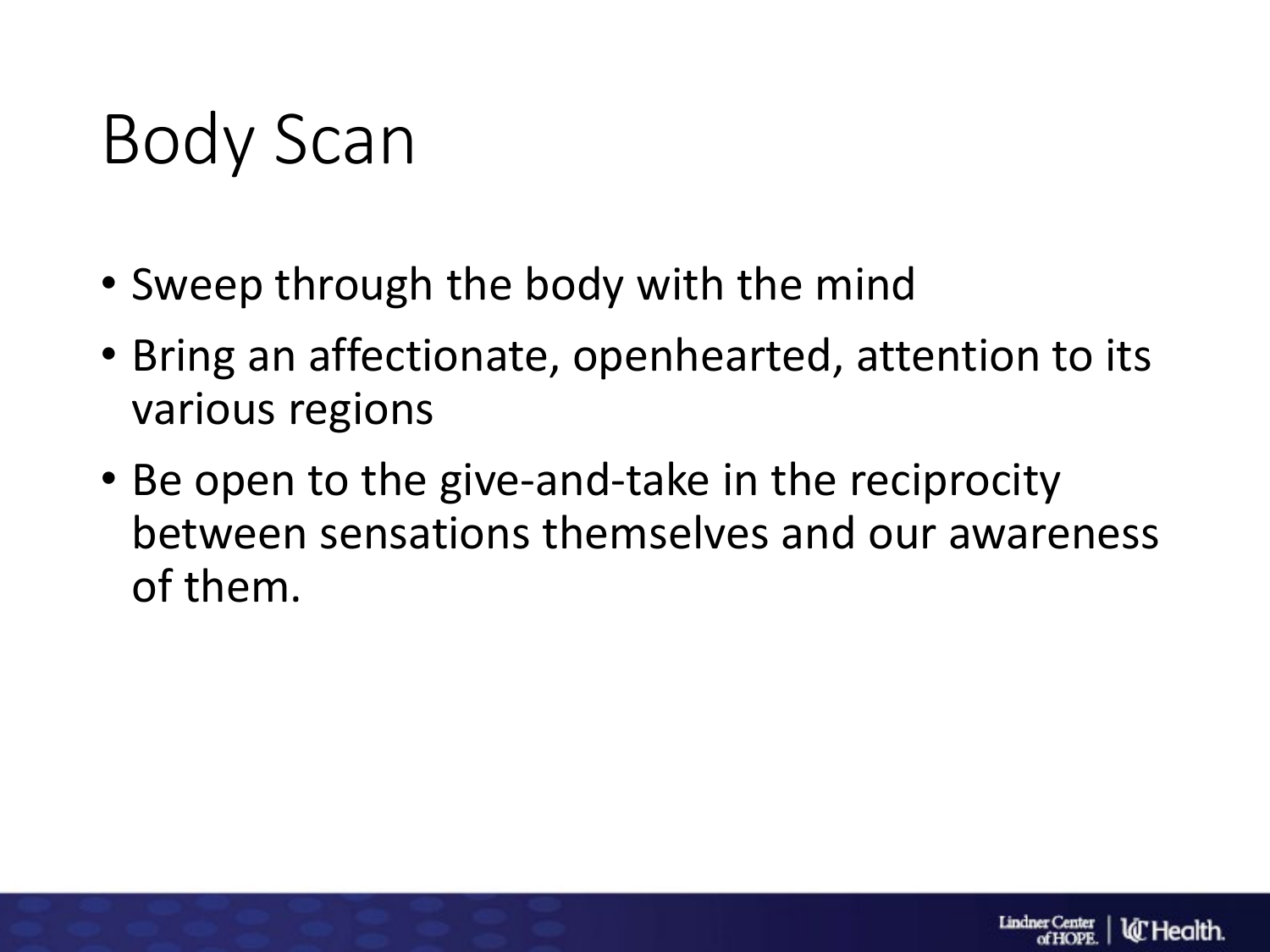### Body Scan

- Sweep through the body with the mind
- Bring an affectionate, openhearted, attention to its various regions
- Be open to the give-and-take in the reciprocity between sensations themselves and our awareness of them.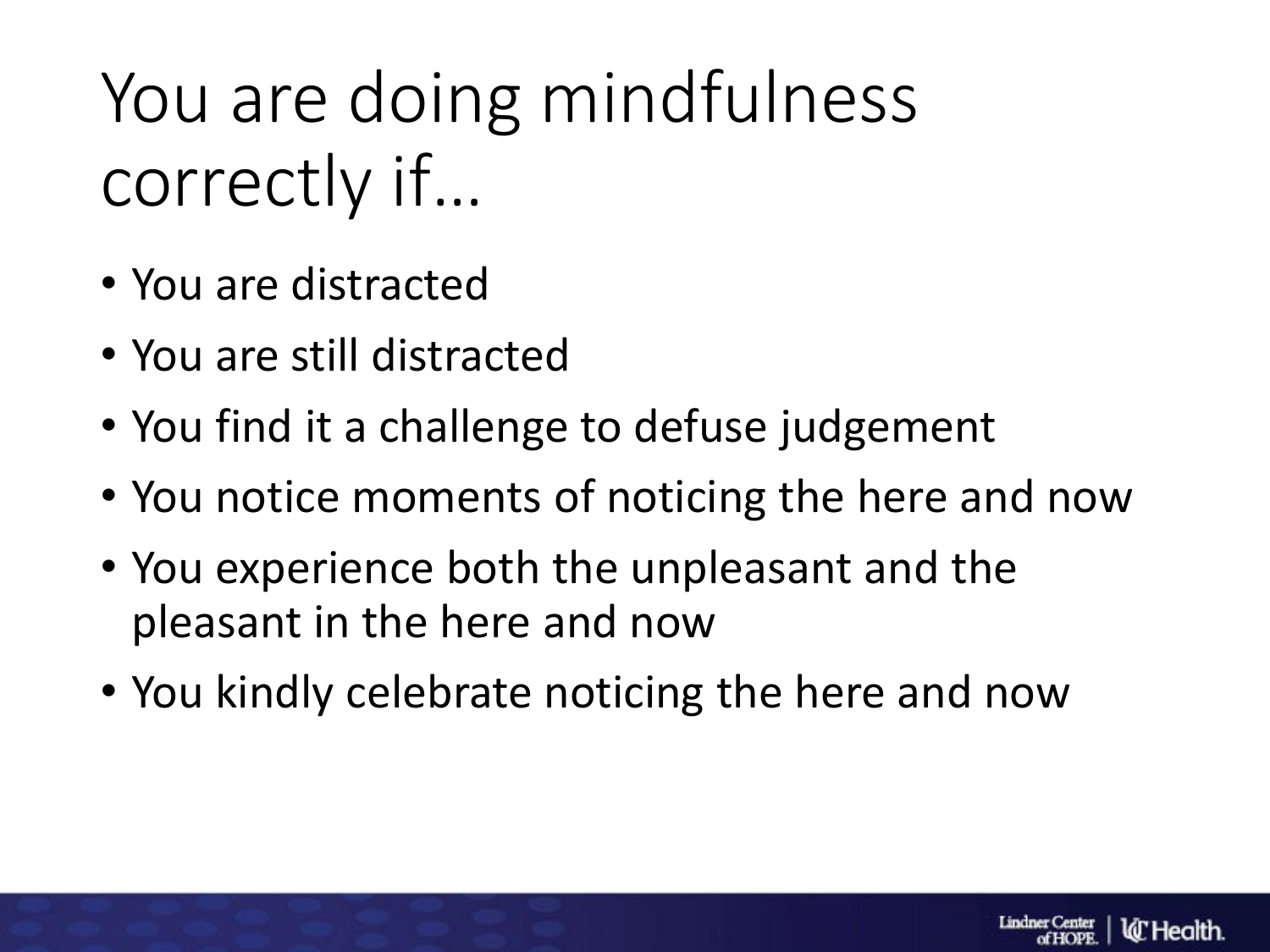# You are doing mindfulness correctly if…

- You are distracted
- You are still distracted
- You find it a challenge to defuse judgement
- You notice moments of noticing the here and now
- You experience both the unpleasant and the pleasant in the here and now
- You kindly celebrate noticing the here and now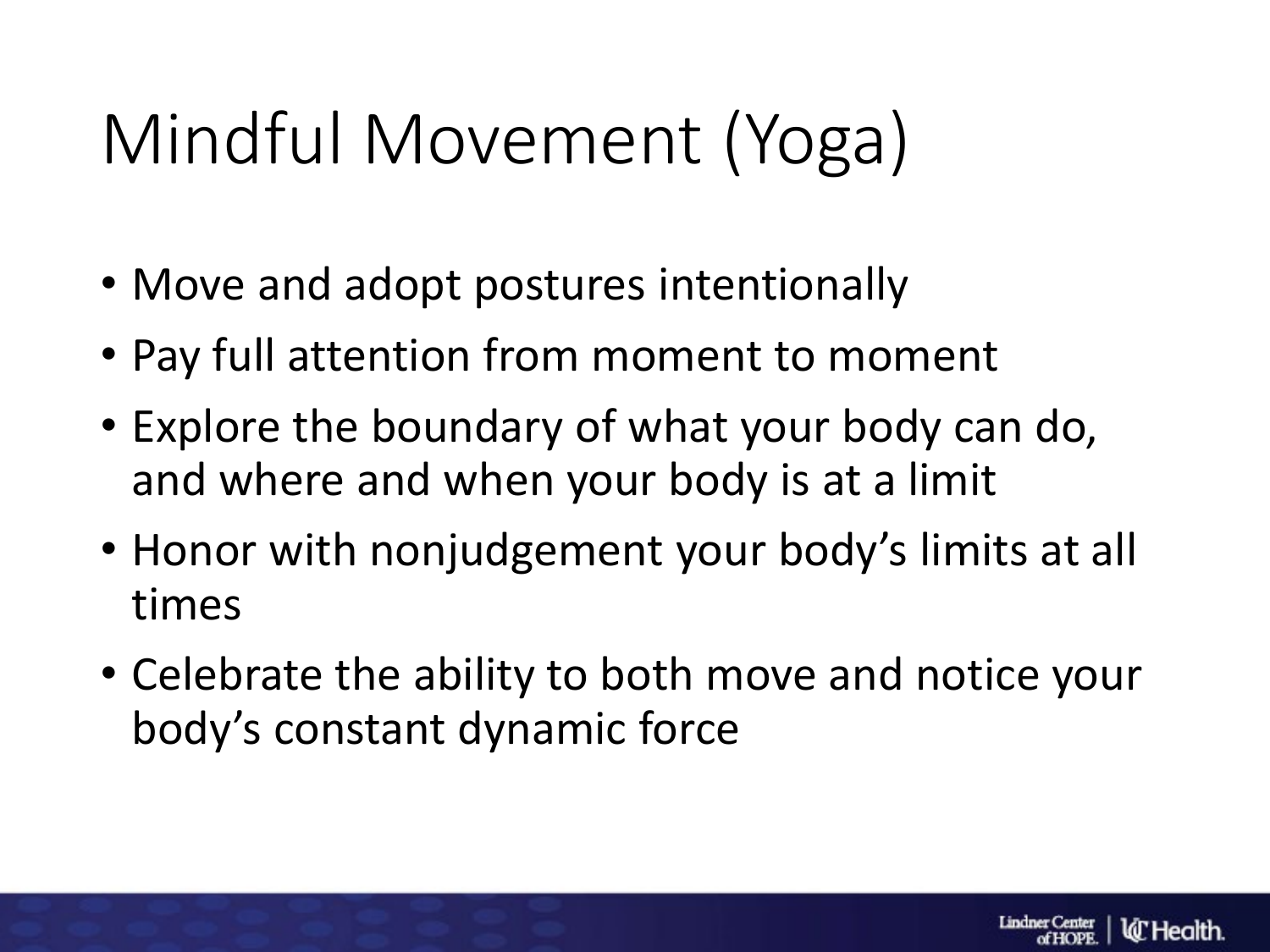# Mindful Movement (Yoga)

- Move and adopt postures intentionally
- Pay full attention from moment to moment
- Explore the boundary of what your body can do, and where and when your body is at a limit
- Honor with nonjudgement your body's limits at all times
- Celebrate the ability to both move and notice your body's constant dynamic force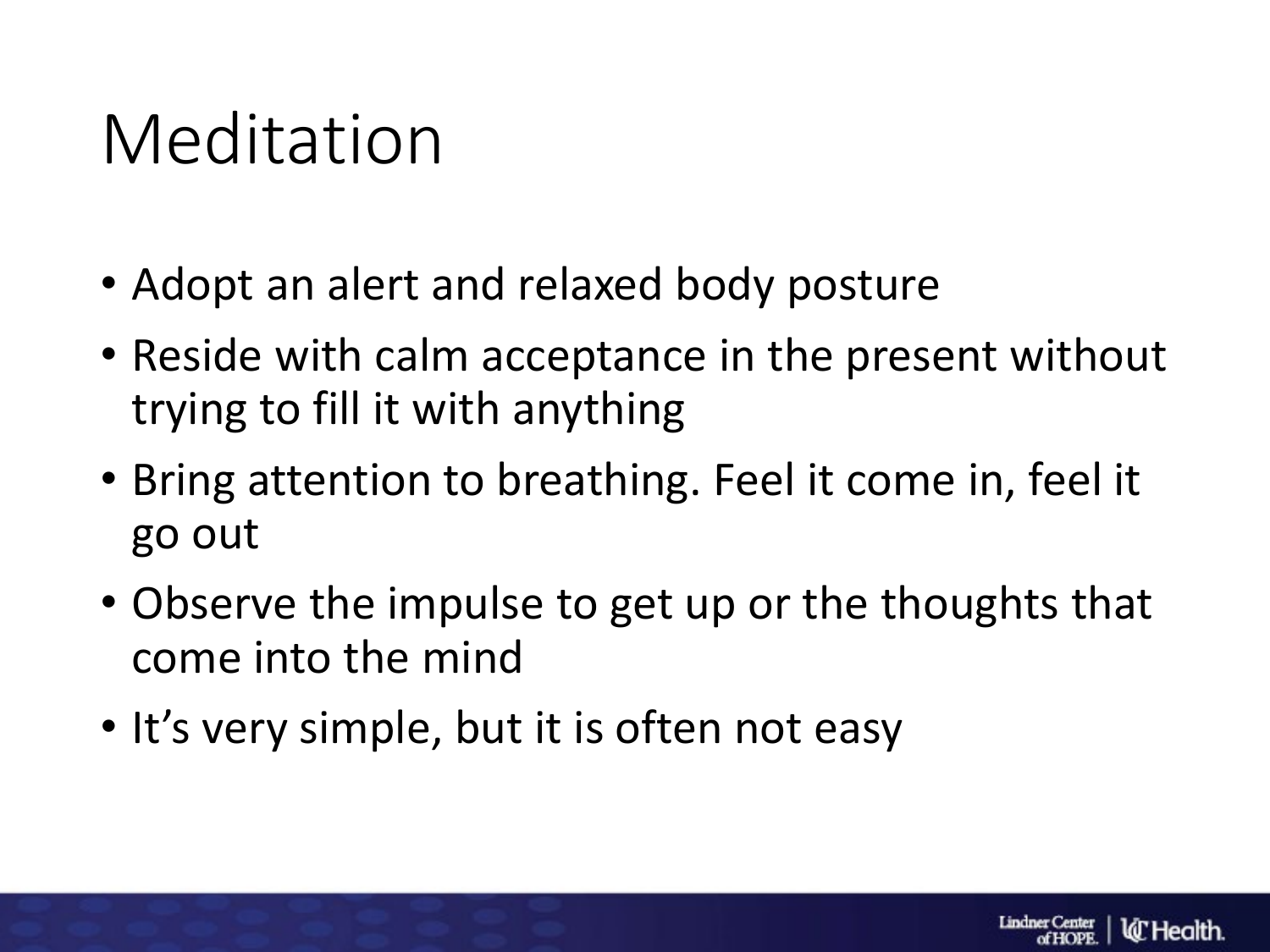#### Meditation

- Adopt an alert and relaxed body posture
- Reside with calm acceptance in the present without trying to fill it with anything
- Bring attention to breathing. Feel it come in, feel it go out
- Observe the impulse to get up or the thoughts that come into the mind
- It's very simple, but it is often not easy